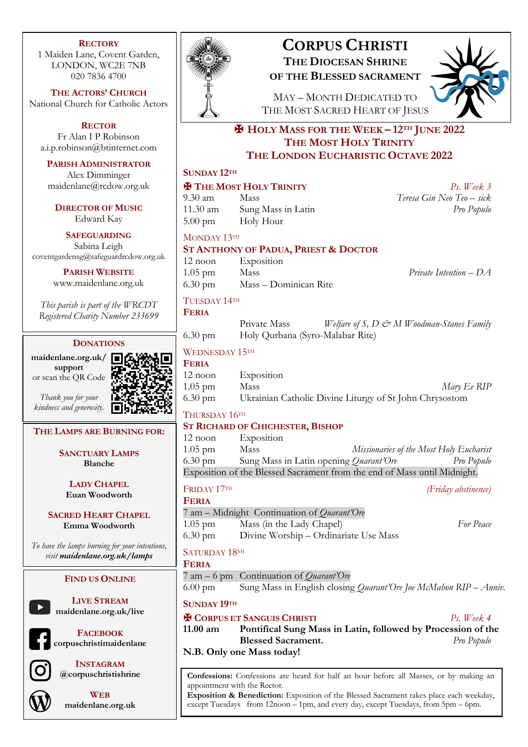#### **RECTORY**

1 Maiden Lane, Covent Garden, LONDON, WC2E 7NB 020 7836 4700

**THE ACTORS' CHURCH** National Church for Catholic Actors

**RECTOR** Fr Alan I P Robinson a.i.p.robinson@btinternet.com

#### **PARISH ADMINISTRATOR**

Alex Dimminger maidenlane@rcdow.org.uk

**DIRECTOR OF MUSIC** Edward Kay

#### **SAFEGUARDING**

Sabina Leigh coventgardensg@safeguardrcdow.org.uk

> **PARISH WEBSITE** www.maidenlane.org.uk

*This parish is part of the WRCDT Registered Charity Number 233699*

#### **DONATIONS**

**maidenlane.org.uk/ support** or scan the QR Code

*Thank you for your kindness and generosity.*

# **THE LAMPS ARE BURNING FOR:**

**SANCTUARY LAMPS Blanche**

**LADY CHAPEL Euan Woodworth**

**SACRED HEART CHAPEL Emma Woodworth**

*To have the lamps burning for your intentions, visit maidenlane.org.uk/lamps*

#### **FIND US ONLINE**

**LIVE STREAM maidenlane.org.uk/live**

**FACEBOOK corpuschristimaidenlane**



**INSTAGRAM @corpuschristishrine**



**WEB maidenlane.org.uk**



# **CORPUS CHRISTI THE DIOCESAN SHRINE**

**OF THE BLESSED SACRAMENT**



MAY – MONTH DEDICATED TO THE MOST SACRED HEART OF JESUS

# ✠ **HOLY MASS FOR THE WEEK – 12TH JUNE 2022 THE MOST HOLY TRINITY THE LONDON EUCHARISTIC OCTAVE 2022**

#### **SUNDAY 12TH**

#### ✠ **THE MOST HOLY TRINITY** *Ps. Week 3*

9.30 am Mass *Teresa Gin Neo Teo – sick* 11.30 am Sung Mass in Latin 5.00 pm Holy Hour

# MONDAY 13TH

# **ST ANTHONY OF PADUA, PRIEST & DOCTOR**

12 noon Exposition 1.05 pm Mass *Private Intention – DA* 6.30 pm Mass – Dominican Rite

#### TUESDAY 14TH **FERIA**

|                   | Private Mass                     | Welfare of S, D & M Woodman-Stanes Family |  |  |
|-------------------|----------------------------------|-------------------------------------------|--|--|
| $6.30 \text{ pm}$ | Holy Qurbana (Syro-Malabar Rite) |                                           |  |  |

#### WEDNESDAY 15TH

| <b>FERIA</b>      |                                                         |             |
|-------------------|---------------------------------------------------------|-------------|
| $12$ noon         | Exposition                                              |             |
| $1.05$ pm         | <b>Mass</b>                                             | Mary Ee RIP |
| $6.30 \text{ pm}$ | Ukrainian Catholic Divine Liturgy of St John Chrysostom |             |

#### THURSDAY 16TH

#### **ST RICHARD OF CHICHESTER, BISHOP**

12 noon Exposition 1.05 pm Mass *Missionaries of the Most Holy Eucharist* 6.30 pm Sung Mass in Latin opening *Quarant'Ore Pro Populo* Exposition of the Blessed Sacrament from the end of Mass until Midnight.

#### FRIDAY 17TH *(Friday abstinence)*

**FERIA**

7 am – Midnight Continuation of *Quarant'Ore* 1.05 pm Mass (in the Lady Chapel) *For Peace* 6.30 pm Divine Worship – Ordinariate Use Mass

# SATURDAY 18TH

### **FERIA**

7 am – 6 pm Continuation of *Quarant'Ore*

6.00 pm Sung Mass in English closing *Quarant'Ore Joe McMahon RIP – Anniv.*

**SUNDAY 19TH**

# ✠ **CORPUS ET SANGUIS CHRISTI** *Ps. Week 4*

**11.00 am Pontifical Sung Mass in Latin, followed by Procession of the Blessed Sacrament.** *Pro Populo*

**N.B. Only one Mass today!**

**Confessions:** Confessions are heard for half an hour before all Masses, or by making an appointment with the Rector.

**Exposition & Benediction:** Exposition of the Blessed Sacrament takes place each weekday, except Tuesdays from 12noon – 1pm, and every day, except Tuesdays, from 5pm – 6pm.